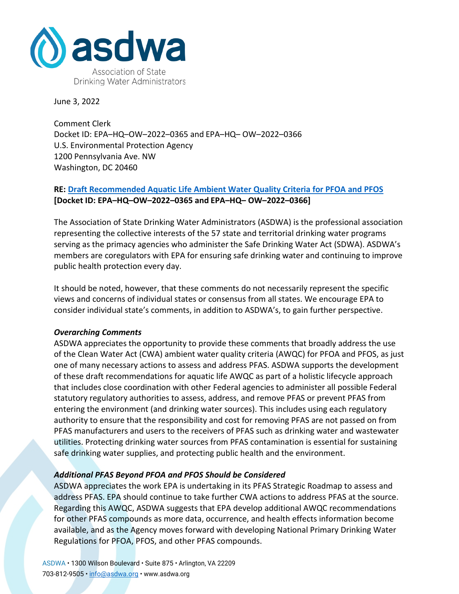

June 3, 2022

Comment Clerk Docket ID: EPA–HQ–OW–2022–0365 and EPA–HQ– OW–2022–0366 U.S. Environmental Protection Agency 1200 Pennsylvania Ave. NW Washington, DC 20460

## **RE: [Draft Recommended Aquatic Life Ambient Water Quality Criteria for PFOA and PFOS](https://www.regulations.gov/document/EPA-HQ-OW-2022-0365-0001) [Docket ID: EPA–HQ–OW–2022–0365 and EPA–HQ– OW–2022–0366]**

The Association of State Drinking Water Administrators (ASDWA) is the professional association representing the collective interests of the 57 state and territorial drinking water programs serving as the primacy agencies who administer the Safe Drinking Water Act (SDWA). ASDWA's members are coregulators with EPA for ensuring safe drinking water and continuing to improve public health protection every day.

It should be noted, however, that these comments do not necessarily represent the specific views and concerns of individual states or consensus from all states. We encourage EPA to consider individual state's comments, in addition to ASDWA's, to gain further perspective.

## *Overarching Comments*

ASDWA appreciates the opportunity to provide these comments that broadly address the use of the Clean Water Act (CWA) ambient water quality criteria (AWQC) for PFOA and PFOS, as just one of many necessary actions to assess and address PFAS. ASDWA supports the development of these draft recommendations for aquatic life AWQC as part of a holistic lifecycle approach that includes close coordination with other Federal agencies to administer all possible Federal statutory regulatory authorities to assess, address, and remove PFAS or prevent PFAS from entering the environment (and drinking water sources). This includes using each regulatory authority to ensure that the responsibility and cost for removing PFAS are not passed on from PFAS manufacturers and users to the receivers of PFAS such as drinking water and wastewater utilities. Protecting drinking water sources from PFAS contamination is essential for sustaining safe drinking water supplies, and protecting public health and the environment.

## *Additional PFAS Beyond PFOA and PFOS Should be Considered*

ASDWA appreciates the work EPA is undertaking in its PFAS Strategic Roadmap to assess and address PFAS. EPA should continue to take further CWA actions to address PFAS at the source. Regarding this AWQC, ASDWA suggests that EPA develop additional AWQC recommendations for other PFAS compounds as more data, occurrence, and health effects information become available, and as the Agency moves forward with developing National Primary Drinking Water Regulations for PFOA, PFOS, and other PFAS compounds.